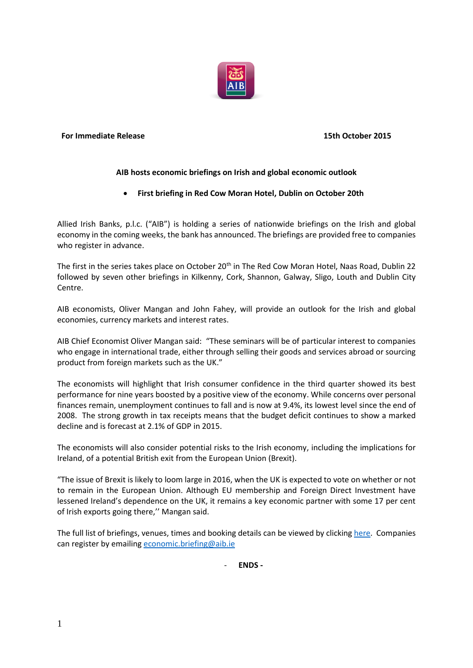

#### **For Immediate Release 15th October 2015**

## **AIB hosts economic briefings on Irish and global economic outlook**

# **First briefing in Red Cow Moran Hotel, Dublin on October 20th**

Allied Irish Banks, p.l.c. ("AIB") is holding a series of nationwide briefings on the Irish and global economy in the coming weeks, the bank has announced. The briefings are provided free to companies who register in advance.

The first in the series takes place on October 20<sup>th</sup> in The Red Cow Moran Hotel, Naas Road, Dublin 22 followed by seven other briefings in Kilkenny, Cork, Shannon, Galway, Sligo, Louth and Dublin City Centre.

AIB economists, Oliver Mangan and John Fahey, will provide an outlook for the Irish and global economies, currency markets and interest rates.

AIB Chief Economist Oliver Mangan said: "These seminars will be of particular interest to companies who engage in international trade, either through selling their goods and services abroad or sourcing product from foreign markets such as the UK."

The economists will highlight that Irish consumer confidence in the third quarter showed its best performance for nine years boosted by a positive view of the economy. While concerns over personal finances remain, unemployment continues to fall and is now at 9.4%, its lowest level since the end of 2008. The strong growth in tax receipts means that the budget deficit continues to show a marked decline and is forecast at 2.1% of GDP in 2015.

The economists will also consider potential risks to the Irish economy, including the implications for Ireland, of a potential British exit from the European Union (Brexit).

"The issue of Brexit is likely to loom large in 2016, when the UK is expected to vote on whether or not to remain in the European Union. Although EU membership and Foreign Direct Investment have lessened Ireland's dependence on the UK, it remains a key economic partner with some 17 per cent of Irish exports going there,'' Mangan said.

The full list of briefings, venues, times and booking details can be viewed by clickin[g here.](https://fxcentre.aib.ie/content/dam/aib/fxcentre/docs/resource-centre/economic-research/AIB_CTS_Economic_Briefings_invite.pdf) Companies can register by emailing [economic.briefing@aib.](mailto:economic.briefing@aib)ie

- **ENDS -**